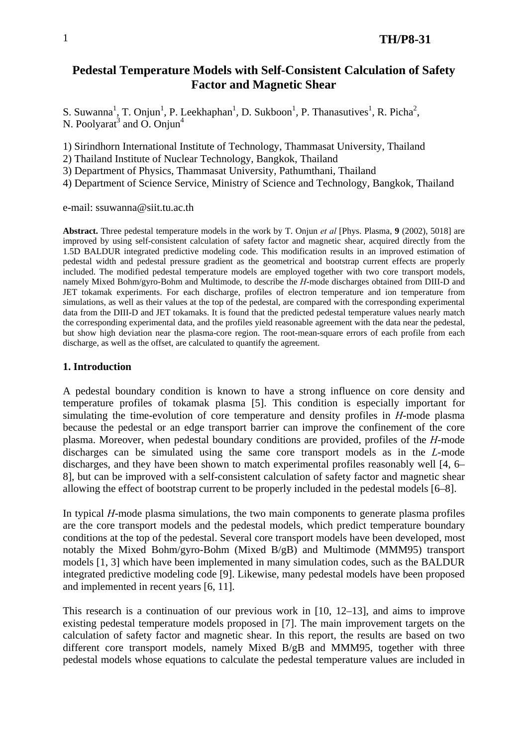# 1 **TH/P8-31**

# **Pedestal Temperature Models with Self-Consistent Calculation of Safety Factor and Magnetic Shear**

S. Suwanna<sup>1</sup>, T. Onjun<sup>1</sup>, P. Leekhaphan<sup>1</sup>, D. Sukboon<sup>1</sup>, P. Thanasutives<sup>1</sup>, R. Picha<sup>2</sup>, N. Poolyarat<sup>3</sup> and O. Onjun<sup>4</sup>

1) Sirindhorn International Institute of Technology, Thammasat University, Thailand

2) Thailand Institute of Nuclear Technology, Bangkok, Thailand

3) Department of Physics, Thammasat University, Pathumthani, Thailand

4) Department of Science Service, Ministry of Science and Technology, Bangkok, Thailand

e-mail: ssuwanna@siit.tu.ac.th

**Abstract.** Three pedestal temperature models in the work by T. Onjun *et al* [Phys. Plasma, **9** (2002), 5018] are improved by using self-consistent calculation of safety factor and magnetic shear, acquired directly from the 1.5D BALDUR integrated predictive modeling code. This modification results in an improved estimation of pedestal width and pedestal pressure gradient as the geometrical and bootstrap current effects are properly included. The modified pedestal temperature models are employed together with two core transport models, namely Mixed Bohm/gyro-Bohm and Multimode, to describe the *H*-mode discharges obtained from DIII-D and JET tokamak experiments. For each discharge, profiles of electron temperature and ion temperature from simulations, as well as their values at the top of the pedestal, are compared with the corresponding experimental data from the DIII-D and JET tokamaks. It is found that the predicted pedestal temperature values nearly match the corresponding experimental data, and the profiles yield reasonable agreement with the data near the pedestal, but show high deviation near the plasma-core region. The root-mean-square errors of each profile from each discharge, as well as the offset, are calculated to quantify the agreement.

### **1. Introduction**

A pedestal boundary condition is known to have a strong influence on core density and temperature profiles of tokamak plasma [5]. This condition is especially important for simulating the time-evolution of core temperature and density profiles in *H*-mode plasma because the pedestal or an edge transport barrier can improve the confinement of the core plasma. Moreover, when pedestal boundary conditions are provided, profiles of the *H*-mode discharges can be simulated using the same core transport models as in the *L*-mode discharges, and they have been shown to match experimental profiles reasonably well [4, 6– 8], but can be improved with a self-consistent calculation of safety factor and magnetic shear allowing the effect of bootstrap current to be properly included in the pedestal models [6–8].

In typical *H*-mode plasma simulations, the two main components to generate plasma profiles are the core transport models and the pedestal models, which predict temperature boundary conditions at the top of the pedestal. Several core transport models have been developed, most notably the Mixed Bohm/gyro-Bohm (Mixed B/gB) and Multimode (MMM95) transport models [1, 3] which have been implemented in many simulation codes, such as the BALDUR integrated predictive modeling code [9]. Likewise, many pedestal models have been proposed and implemented in recent years [6, 11].

This research is a continuation of our previous work in [10, 12–13], and aims to improve existing pedestal temperature models proposed in [7]. The main improvement targets on the calculation of safety factor and magnetic shear. In this report, the results are based on two different core transport models, namely Mixed B/gB and MMM95, together with three pedestal models whose equations to calculate the pedestal temperature values are included in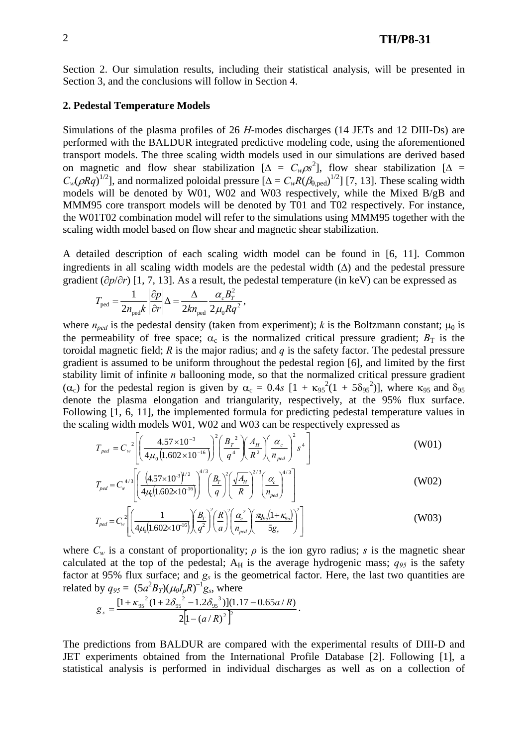Section 2. Our simulation results, including their statistical analysis, will be presented in Section 3, and the conclusions will follow in Section 4.

### **2. Pedestal Temperature Models**

Simulations of the plasma profiles of 26 *H*-modes discharges (14 JETs and 12 DIII-Ds) are performed with the BALDUR integrated predictive modeling code, using the aforementioned transport models. The three scaling width models used in our simulations are derived based on magnetic and flow shear stabilization  $[\Delta = C_w \rho s^2]$ , flow shear stabilization  $[\Delta =$  $C_w(\rho Rq)^{1/2}$ ], and normalized poloidal pressure  $[\Delta = C_w R(\beta_{0,\text{ped}})^{1/2}]$  [7, 13]. These scaling width models will be denoted by W01, W02 and W03 respectively, while the Mixed B/gB and MMM95 core transport models will be denoted by T01 and T02 respectively. For instance, the W01T02 combination model will refer to the simulations using MMM95 together with the scaling width model based on flow shear and magnetic shear stabilization.

A detailed description of each scaling width model can be found in [6, 11]. Common ingredients in all scaling width models are the pedestal width  $(\Delta)$  and the pedestal pressure gradient (∂*p*/∂*r*) [1, 7, 13]. As a result, the pedestal temperature (in keV) can be expressed as

$$
T_{\text{ped}} = \frac{1}{2n_{\text{ped}}k} \left| \frac{\partial p}{\partial r} \right| \Delta = \frac{\Delta}{2kn_{\text{ped}}} \frac{\alpha_c B_T^2}{2\mu_0 R q^2},
$$

where  $n_{ped}$  is the pedestal density (taken from experiment); *k* is the Boltzmann constant;  $\mu_0$  is the permeability of free space;  $\alpha_c$  is the normalized critical pressure gradient;  $B_T$  is the toroidal magnetic field; *R* is the major radius; and *q* is the safety factor. The pedestal pressure gradient is assumed to be uniform throughout the pedestal region [6], and limited by the first stability limit of infinite *n* ballooning mode, so that the normalized critical pressure gradient ( $\alpha_c$ ) for the pedestal region is given by  $\alpha_c = 0.4s$  [1 +  $\kappa_{95}^2(1 + 5\delta_{95}^2)$ ], where  $\kappa_{95}$  and  $\delta_{95}$ denote the plasma elongation and triangularity, respectively, at the 95% flux surface. Following [1, 6, 11], the implemented formula for predicting pedestal temperature values in the scaling width models W01, W02 and W03 can be respectively expressed as

$$
T_{ped} = C_w^2 \left[ \left( \frac{4.57 \times 10^{-3}}{4\mu_0 \left( 1.602 \times 10^{-16} \right)} \right)^2 \left( \frac{B_r^2}{q^4} \right) \left( \frac{A_\mu}{R^2} \right) \left( \frac{\alpha_c}{n_{ped}} \right)^2 s^4 \right]
$$
(W01)

$$
T_{ped} = C_w^{4/3} \left[ \left( \frac{(4.57 \times 10^{-3})^{1/2}}{4\mu_0 (1.602 \times 10^{-16})} \right)^{4/3} \left( \frac{B_r}{q} \right)^2 \left( \frac{\sqrt{A_H}}{R} \right)^{2/3} \left( \frac{\alpha_c}{n_{ped}} \right)^{4/3} \right]
$$
(W02)

$$
T_{ped} = C_w^2 \left[ \left( \frac{1}{4\mu_0 (1.602 \times 10^{16})} \right) \left( \frac{B_r}{q^2} \right)^2 \left( \frac{R}{a} \right)^2 \left( \frac{\alpha_c^2}{n_{ped}} \right) \left( \frac{\pi q_{95} (1 + \kappa_{95})}{5g_s} \right)^2 \right]
$$
(W03)

where  $C_w$  is a constant of proportionality;  $\rho$  is the ion gyro radius; *s* is the magnetic shear calculated at the top of the pedestal;  $A_H$  is the average hydrogenic mass;  $q_{95}$  is the safety factor at 95% flux surface; and  $g_s$  is the geometrical factor. Here, the last two quantities are related by  $q_{95} = (5a^2B_T)(\mu_0I_pR)^{-1}g_s$ , where

$$
g_s = \frac{[1 + \kappa_{95}^2 (1 + 2\delta_{95}^2 - 1.2\delta_{95}^3)](1.17 - 0.65a/R)}{2[1 - (a/R)^2]^2}.
$$

The predictions from BALDUR are compared with the experimental results of DIII-D and JET experiments obtained from the International Profile Database [2]. Following [1], a statistical analysis is performed in individual discharges as well as on a collection of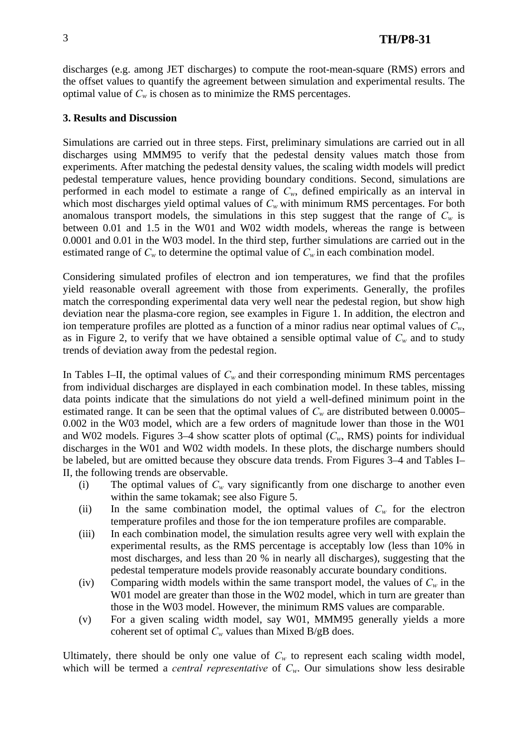discharges (e.g. among JET discharges) to compute the root-mean-square (RMS) errors and the offset values to quantify the agreement between simulation and experimental results. The optimal value of  $C_w$  is chosen as to minimize the RMS percentages.

# **3. Results and Discussion**

Simulations are carried out in three steps. First, preliminary simulations are carried out in all discharges using MMM95 to verify that the pedestal density values match those from experiments. After matching the pedestal density values, the scaling width models will predict pedestal temperature values, hence providing boundary conditions. Second, simulations are performed in each model to estimate a range of  $C_w$ , defined empirically as an interval in which most discharges yield optimal values of  $C_w$  with minimum RMS percentages. For both anomalous transport models, the simulations in this step suggest that the range of  $C_w$  is between 0.01 and 1.5 in the W01 and W02 width models, whereas the range is between 0.0001 and 0.01 in the W03 model. In the third step, further simulations are carried out in the estimated range of  $C_w$  to determine the optimal value of  $C_w$  in each combination model.

Considering simulated profiles of electron and ion temperatures, we find that the profiles yield reasonable overall agreement with those from experiments. Generally, the profiles match the corresponding experimental data very well near the pedestal region, but show high deviation near the plasma-core region, see examples in Figure 1. In addition, the electron and ion temperature profiles are plotted as a function of a minor radius near optimal values of *Cw*, as in Figure 2, to verify that we have obtained a sensible optimal value of  $C_w$  and to study trends of deviation away from the pedestal region.

In Tables I–II, the optimal values of  $C_w$  and their corresponding minimum RMS percentages from individual discharges are displayed in each combination model. In these tables, missing data points indicate that the simulations do not yield a well-defined minimum point in the estimated range. It can be seen that the optimal values of  $C_w$  are distributed between 0.0005– 0.002 in the W03 model, which are a few orders of magnitude lower than those in the W01 and W02 models. Figures  $3-4$  show scatter plots of optimal  $(C_w, RMS)$  points for individual discharges in the W01 and W02 width models. In these plots, the discharge numbers should be labeled, but are omitted because they obscure data trends. From Figures 3–4 and Tables I– II, the following trends are observable.

- (i) The optimal values of  $C_w$  vary significantly from one discharge to another even within the same tokamak; see also Figure 5.
- (ii) In the same combination model, the optimal values of  $C_w$  for the electron temperature profiles and those for the ion temperature profiles are comparable.
- (iii) In each combination model, the simulation results agree very well with explain the experimental results, as the RMS percentage is acceptably low (less than 10% in most discharges, and less than 20 % in nearly all discharges), suggesting that the pedestal temperature models provide reasonably accurate boundary conditions.
- (iv) Comparing width models within the same transport model, the values of  $C_w$  in the W01 model are greater than those in the W02 model, which in turn are greater than those in the W03 model. However, the minimum RMS values are comparable.
- (v) For a given scaling width model, say W01, MMM95 generally yields a more coherent set of optimal  $C_w$  values than Mixed B/gB does.

Ultimately, there should be only one value of  $C_w$  to represent each scaling width model, which will be termed a *central representative* of  $C_w$ . Our simulations show less desirable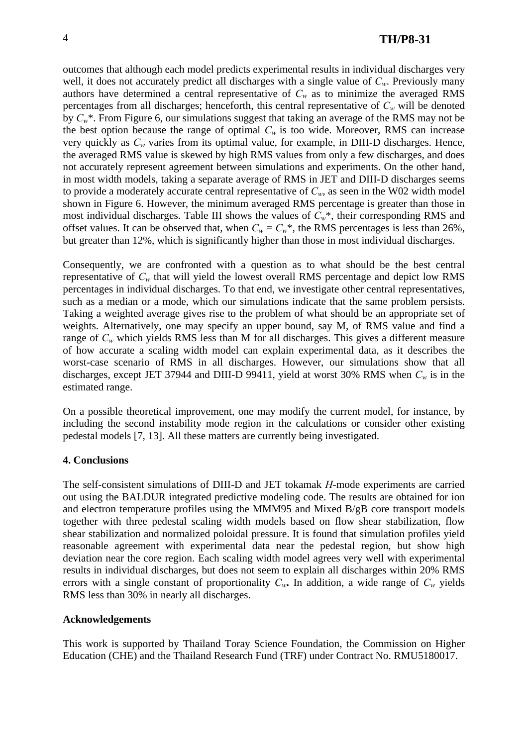outcomes that although each model predicts experimental results in individual discharges very well, it does not accurately predict all discharges with a single value of  $C_w$ . Previously many authors have determined a central representative of  $C_w$  as to minimize the averaged RMS percentages from all discharges; henceforth, this central representative of  $C_w$  will be denoted by *Cw*\*. From Figure 6, our simulations suggest that taking an average of the RMS may not be the best option because the range of optimal  $C_w$  is too wide. Moreover, RMS can increase very quickly as  $C_w$  varies from its optimal value, for example, in DIII-D discharges. Hence, the averaged RMS value is skewed by high RMS values from only a few discharges, and does not accurately represent agreement between simulations and experiments. On the other hand, in most width models, taking a separate average of RMS in JET and DIII-D discharges seems to provide a moderately accurate central representative of  $C_w$ , as seen in the W02 width model shown in Figure 6. However, the minimum averaged RMS percentage is greater than those in most individual discharges. Table III shows the values of  $C_w^*$ , their corresponding RMS and offset values. It can be observed that, when  $C_w = C_w^*$ , the RMS percentages is less than 26%, but greater than 12%, which is significantly higher than those in most individual discharges.

Consequently, we are confronted with a question as to what should be the best central representative of  $C_w$  that will yield the lowest overall RMS percentage and depict low RMS percentages in individual discharges. To that end, we investigate other central representatives, such as a median or a mode, which our simulations indicate that the same problem persists. Taking a weighted average gives rise to the problem of what should be an appropriate set of weights. Alternatively, one may specify an upper bound, say M, of RMS value and find a range of  $C_w$  which yields RMS less than M for all discharges. This gives a different measure of how accurate a scaling width model can explain experimental data, as it describes the worst-case scenario of RMS in all discharges. However, our simulations show that all discharges, except JET 37944 and DIII-D 99411, yield at worst 30% RMS when *Cw* is in the estimated range.

On a possible theoretical improvement, one may modify the current model, for instance, by including the second instability mode region in the calculations or consider other existing pedestal models [7, 13]. All these matters are currently being investigated.

### **4. Conclusions**

The self-consistent simulations of DIII-D and JET tokamak *H*-mode experiments are carried out using the BALDUR integrated predictive modeling code. The results are obtained for ion and electron temperature profiles using the MMM95 and Mixed B/gB core transport models together with three pedestal scaling width models based on flow shear stabilization, flow shear stabilization and normalized poloidal pressure. It is found that simulation profiles yield reasonable agreement with experimental data near the pedestal region, but show high deviation near the core region. Each scaling width model agrees very well with experimental results in individual discharges, but does not seem to explain all discharges within 20% RMS errors with a single constant of proportionality  $C_w$ . In addition, a wide range of  $C_w$  yields RMS less than 30% in nearly all discharges.

### **Acknowledgements**

This work is supported by Thailand Toray Science Foundation, the Commission on Higher Education (CHE) and the Thailand Research Fund (TRF) under Contract No. RMU5180017.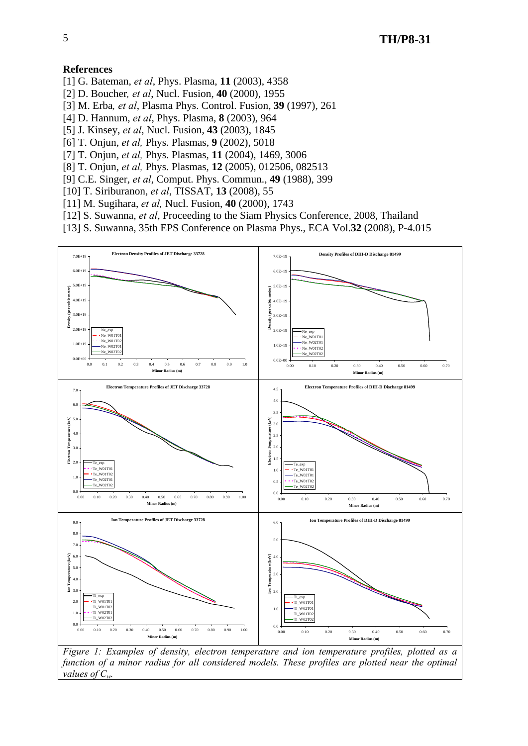### **References**

- [1] G. Bateman, *et al*, Phys. Plasma, **11** (2003), 4358
- [2] D. Boucher*, et al*, Nucl. Fusion, **40** (2000), 1955
- [3] M. Erba*, et al*, Plasma Phys. Control. Fusion, **39** (1997), 261
- [4] D. Hannum, *et al*, Phys. Plasma, **8** (2003), 964
- [5] J. Kinsey, *et al*, Nucl. Fusion, **43** (2003), 1845
- [6] T. Onjun, *et al,* Phys. Plasmas, **9** (2002), 5018
- [7] T. Onjun, *et al,* Phys. Plasmas, **11** (2004), 1469, 3006
- [8] T. Onjun, *et al,* Phys. Plasmas, **12** (2005), 012506, 082513
- [9] C.E. Singer, *et al*, Comput. Phys. Commun., **49** (1988), 399
- [10] T. Siriburanon, *et al*, TISSAT, **13** (2008), 55
- [11] M. Sugihara, *et al,* Nucl. Fusion, **40** (2000), 1743
- [12] S. Suwanna, *et al*, Proceeding to the Siam Physics Conference, 2008, Thailand
- [13] S. Suwanna, 35th EPS Conference on Plasma Phys., ECA Vol.**32** (2008), P-4.015

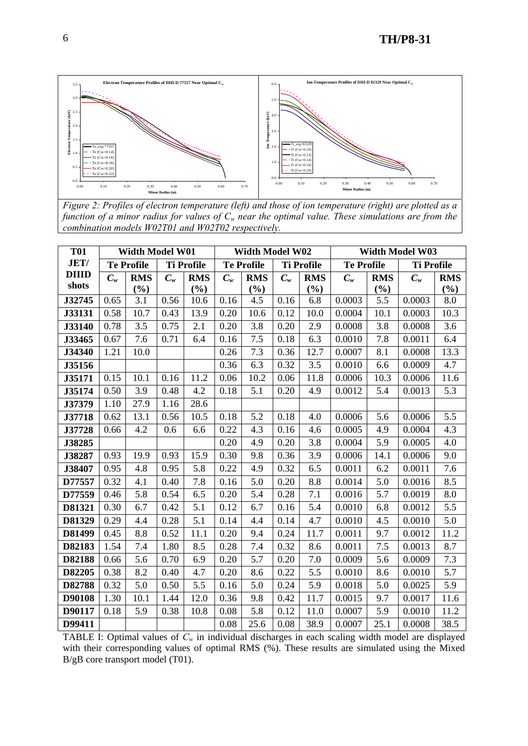

*Figure 2: Profiles of electron temperature (left) and those of ion temperature (right) are plotted as a function of a minor radius for values of*  $C_w$  near the optimal value. These simulations are from the *combination models W02T01 and W02T02 respectively.* 

| <b>T01</b>   |                   | Width Model W01 |                   |            |                   | <b>Width Model W02</b> |                   |            | <b>Width Model W03</b> |            |                   |            |  |
|--------------|-------------------|-----------------|-------------------|------------|-------------------|------------------------|-------------------|------------|------------------------|------------|-------------------|------------|--|
| <b>JET/</b>  | <b>Te Profile</b> |                 | <b>Ti Profile</b> |            | <b>Te Profile</b> |                        | <b>Ti Profile</b> |            | <b>Te Profile</b>      |            | <b>Ti Profile</b> |            |  |
| <b>DIIID</b> | $C_w$             | <b>RMS</b>      | $C_w$             | <b>RMS</b> | $C_w$             | <b>RMS</b>             | $C_w$             | <b>RMS</b> | $C_w$                  | <b>RMS</b> | $C_w$             | <b>RMS</b> |  |
| shots        |                   | (%)             |                   | (%)        |                   | (%)                    |                   | (%)        |                        | (%)        |                   | (%)        |  |
| J32745       | 0.65              | 3.1             | 0.56              | 10.6       | 0.16              | 4.5                    | 0.16              | 6.8        | 0.0003                 | 5.5        | 0.0003            | 8.0        |  |
| J33131       | 0.58              | 10.7            | 0.43              | 13.9       | 0.20              | 10.6                   | 0.12              | 10.0       | 0.0004                 | 10.1       | 0.0003            | 10.3       |  |
| J33140       | 0.78              | 3.5             | 0.75              | 2.1        | 0.20              | 3.8                    | 0.20              | 2.9        | 0.0008                 | 3.8        | 0.0008            | 3.6        |  |
| J33465       | 0.67              | 7.6             | 0.71              | 6.4        | 0.16              | 7.5                    | 0.18              | 6.3        | 0.0010                 | 7.8        | 0.0011            | 6.4        |  |
| J34340       | 1.21              | 10.0            |                   |            | 0.26              | 7.3                    | 0.36              | 12.7       | 0.0007                 | 8.1        | 0.0008            | 13.3       |  |
| J35156       |                   |                 |                   |            | 0.36              | 6.3                    | 0.32              | 3.5        | 0.0010                 | 6.6        | 0.0009            | 4.7        |  |
| J35171       | 0.15              | 10.1            | 0.16              | 11.2       | 0.06              | 10.2                   | 0.06              | 11.8       | 0.0006                 | 10.3       | 0.0006            | 11.6       |  |
| J35174       | 0.50              | 3.9             | 0.48              | 4.2        | 0.18              | 5.1                    | 0.20              | 4.9        | 0.0012                 | 5.4        | 0.0013            | 5.3        |  |
| J37379       | 1.10              | 27.9            | 1.16              | 28.6       |                   |                        |                   |            |                        |            |                   |            |  |
| J37718       | 0.62              | 13.1            | 0.56              | 10.5       | 0.18              | 5.2                    | 0.18              | 4.0        | 0.0006                 | 5.6        | 0.0006            | 5.5        |  |
| J37728       | 0.66              | 4.2             | 0.6               | 6.6        | 0.22              | 4.3                    | 0.16              | 4.6        | 0.0005                 | 4.9        | 0.0004            | 4.3        |  |
| J38285       |                   |                 |                   |            | 0.20              | 4.9                    | 0.20              | 3.8        | 0.0004                 | 5.9        | 0.0005            | 4.0        |  |
| J38287       | 0.93              | 19.9            | 0.93              | 15.9       | 0.30              | 9.8                    | 0.36              | 3.9        | 0.0006                 | 14.1       | 0.0006            | 9.0        |  |
| J38407       | 0.95              | 4.8             | 0.95              | 5.8        | 0.22              | 4.9                    | 0.32              | 6.5        | 0.0011                 | 6.2        | 0.0011            | 7.6        |  |
| D77557       | 0.32              | 4.1             | 0.40              | 7.8        | 0.16              | 5.0                    | 0.20              | 8.8        | 0.0014                 | 5.0        | 0.0016            | 8.5        |  |
| D77559       | 0.46              | 5.8             | 0.54              | 6.5        | 0.20              | 5.4                    | 0.28              | 7.1        | 0.0016                 | 5.7        | 0.0019            | 8.0        |  |
| D81321       | 0.30              | 6.7             | 0.42              | 5.1        | 0.12              | 6.7                    | 0.16              | 5.4        | 0.0010                 | 6.8        | 0.0012            | 5.5        |  |
| D81329       | 0.29              | 4.4             | 0.28              | 5.1        | 0.14              | 4.4                    | 0.14              | 4.7        | 0.0010                 | 4.5        | 0.0010            | 5.0        |  |
| D81499       | 0.45              | 8.8             | 0.52              | 11.1       | 0.20              | 9.4                    | 0.24              | 11.7       | 0.0011                 | 9.7        | 0.0012            | 11.2       |  |
| D82183       | 1.54              | 7.4             | 1.80              | 8.5        | 0.28              | 7.4                    | 0.32              | 8.6        | 0.0011                 | 7.5        | 0.0013            | 8.7        |  |
| D82188       | 0.66              | 5.6             | 0.70              | 6.9        | 0.20              | 5.7                    | 0.20              | 7.0        | 0.0009                 | 5.6        | 0.0009            | 7.3        |  |
| D82205       | 0.38              | 8.2             | 0.40              | 4.7        | 0.20              | 8.6                    | 0.22              | 5.5        | 0.0010                 | 8.6        | 0.0010            | 5.7        |  |
| D82788       | 0.32              | 5.0             | 0.50              | 5.5        | 0.16              | 5.0                    | 0.24              | 5.9        | 0.0018                 | 5.0        | 0.0025            | 5.9        |  |
| D90108       | 1.30              | 10.1            | 1.44              | 12.0       | 0.36              | 9.8                    | 0.42              | 11.7       | 0.0015                 | 9.7        | 0.0017            | 11.6       |  |
| D90117       | 0.18              | 5.9             | 0.38              | 10.8       | 0.08              | 5.8                    | 0.12              | 11.0       | 0.0007                 | 5.9        | 0.0010            | 11.2       |  |
| D99411       |                   |                 |                   |            | 0.08              | 25.6                   | 0.08              | 38.9       | 0.0007                 | 25.1       | 0.0008            | 38.5       |  |

TABLE I: Optimal values of  $C_w$  in individual discharges in each scaling width model are displayed with their corresponding values of optimal RMS (%). These results are simulated using the Mixed B/gB core transport model (T01).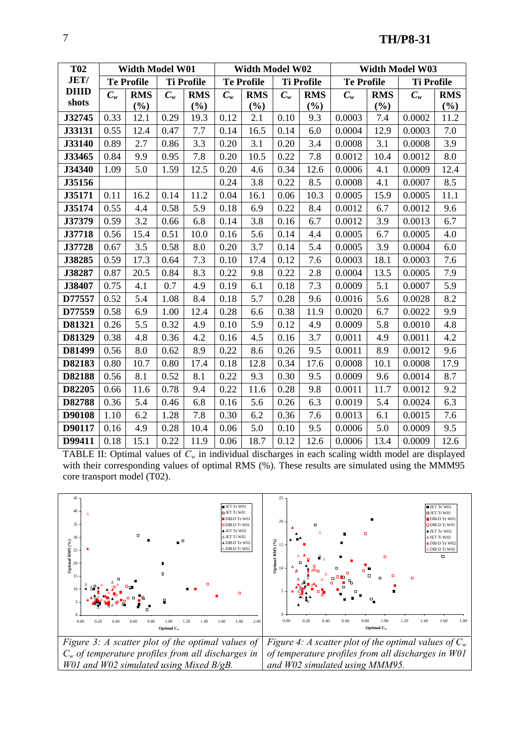| <b>T02</b>   |                   | Width Model W01 |                   |            |                   | Width Model W02 |                   |            | Width Model W03   |            |                   |            |  |
|--------------|-------------------|-----------------|-------------------|------------|-------------------|-----------------|-------------------|------------|-------------------|------------|-------------------|------------|--|
| <b>JET/</b>  | <b>Te Profile</b> |                 | <b>Ti Profile</b> |            | <b>Te Profile</b> |                 | <b>Ti Profile</b> |            | <b>Te Profile</b> |            | <b>Ti Profile</b> |            |  |
| <b>DIIID</b> | $C_w$             | <b>RMS</b>      | $C_w$             | <b>RMS</b> | $C_w$             | <b>RMS</b>      | $C_w$             | <b>RMS</b> | $C_w$             | <b>RMS</b> | $C_w$             | <b>RMS</b> |  |
| shots        |                   | (%)             |                   | (%)        |                   | (%)             |                   | (%)        |                   | (%)        |                   | $(\%)$     |  |
| J32745       | 0.33              | 12.1            | 0.29              | 19.3       | 0.12              | 2.1             | 0.10              | 9.3        | 0.0003            | 7.4        | 0.0002            | 11.2       |  |
| J33131       | 0.55              | 12.4            | 0.47              | 7.7        | 0.14              | 16.5            | 0.14              | 6.0        | 0.0004            | 12.9       | 0.0003            | 7.0        |  |
| J33140       | 0.89              | 2.7             | 0.86              | 3.3        | 0.20              | 3.1             | 0.20              | 3.4        | 0.0008            | 3.1        | 0.0008            | 3.9        |  |
| J33465       | 0.84              | 9.9             | 0.95              | 7.8        | 0.20              | 10.5            | 0.22              | 7.8        | 0.0012            | 10.4       | 0.0012            | 8.0        |  |
| J34340       | 1.09              | 5.0             | 1.59              | 12.5       | 0.20              | 4.6             | 0.34              | 12.6       | 0.0006            | 4.1        | 0.0009            | 12.4       |  |
| J35156       |                   |                 |                   |            | 0.24              | 3.8             | 0.22              | 8.5        | 0.0008            | 4.1        | 0.0007            | 8.5        |  |
| J35171       | 0.11              | 16.2            | 0.14              | 11.2       | 0.04              | 16.1            | 0.06              | 10.3       | 0.0005            | 15.9       | 0.0005            | 11.1       |  |
| J35174       | 0.55              | 4.4             | 0.58              | 5.9        | 0.18              | 6.9             | 0.22              | 8.4        | 0.0012            | 6.7        | 0.0012            | 9.6        |  |
| J37379       | 0.59              | 3.2             | 0.66              | 6.8        | 0.14              | 3.8             | 0.16              | 6.7        | 0.0012            | 3.9        | 0.0013            | 6.7        |  |
| J37718       | 0.56              | 15.4            | 0.51              | 10.0       | 0.16              | 5.6             | 0.14              | 4.4        | 0.0005            | 6.7        | 0.0005            | 4.0        |  |
| J37728       | 0.67              | 3.5             | 0.58              | 8.0        | 0.20              | 3.7             | 0.14              | 5.4        | 0.0005            | 3.9        | 0.0004            | 6.0        |  |
| J38285       | 0.59              | 17.3            | 0.64              | 7.3        | 0.10              | 17.4            | 0.12              | 7.6        | 0.0003            | 18.1       | 0.0003            | 7.6        |  |
| J38287       | 0.87              | 20.5            | 0.84              | 8.3        | 0.22              | 9.8             | 0.22              | 2.8        | 0.0004            | 13.5       | 0.0005            | 7.9        |  |
| J38407       | 0.75              | 4.1             | $0.7\,$           | 4.9        | 0.19              | 6.1             | 0.18              | 7.3        | 0.0009            | 5.1        | 0.0007            | 5.9        |  |
| D77557       | 0.52              | 5.4             | 1.08              | 8.4        | 0.18              | 5.7             | 0.28              | 9.6        | 0.0016            | 5.6        | 0.0028            | 8.2        |  |
| D77559       | 0.58              | 6.9             | 1.00              | 12.4       | 0.28              | 6.6             | 0.38              | 11.9       | 0.0020            | 6.7        | 0.0022            | 9.9        |  |
| D81321       | 0.26              | 5.5             | 0.32              | 4.9        | 0.10              | 5.9             | 0.12              | 4.9        | 0.0009            | 5.8        | 0.0010            | 4.8        |  |
| D81329       | 0.38              | 4.8             | 0.36              | 4.2        | 0.16              | 4.5             | 0.16              | 3.7        | 0.0011            | 4.9        | 0.0011            | 4.2        |  |
| D81499       | 0.56              | 8.0             | 0.62              | 8.9        | 0.22              | 8.6             | 0.26              | 9.5        | 0.0011            | 8.9        | 0.0012            | 9.6        |  |
| D82183       | 0.80              | 10.7            | 0.80              | 17.4       | 0.18              | 12.8            | 0.34              | 17.6       | 0.0008            | 10.1       | 0.0008            | 17.9       |  |
| D82188       | 0.56              | 8.1             | 0.52              | 8.1        | 0.22              | 9.3             | 0.30              | 9.5        | 0.0009            | 9.6        | 0.0014            | 8.7        |  |
| D82205       | 0.66              | 11.6            | 0.78              | 9.4        | 0.22              | 11.6            | 0.28              | 9.8        | 0.0011            | 11.7       | 0.0012            | 9.2        |  |
| D82788       | 0.36              | 5.4             | 0.46              | 6.8        | 0.16              | 5.6             | 0.26              | 6.3        | 0.0019            | 5.4        | 0.0024            | 6.3        |  |
| D90108       | 1.10              | 6.2             | 1.28              | 7.8        | 0.30              | 6.2             | 0.36              | 7.6        | 0.0013            | 6.1        | 0.0015            | 7.6        |  |
| D90117       | 0.16              | 4.9             | 0.28              | 10.4       | 0.06              | 5.0             | 0.10              | 9.5        | 0.0006            | 5.0        | 0.0009            | 9.5        |  |
| D99411       | 0.18              | 15.1            | 0.22              | 11.9       | 0.06              | 18.7            | 0.12              | 12.6       | 0.0006            | 13.4       | 0.0009            | 12.6       |  |

TABLE II: Optimal values of  $C_w$  in individual discharges in each scaling width model are displayed with their corresponding values of optimal RMS (%). These results are simulated using the MMM95 core transport model (T02).